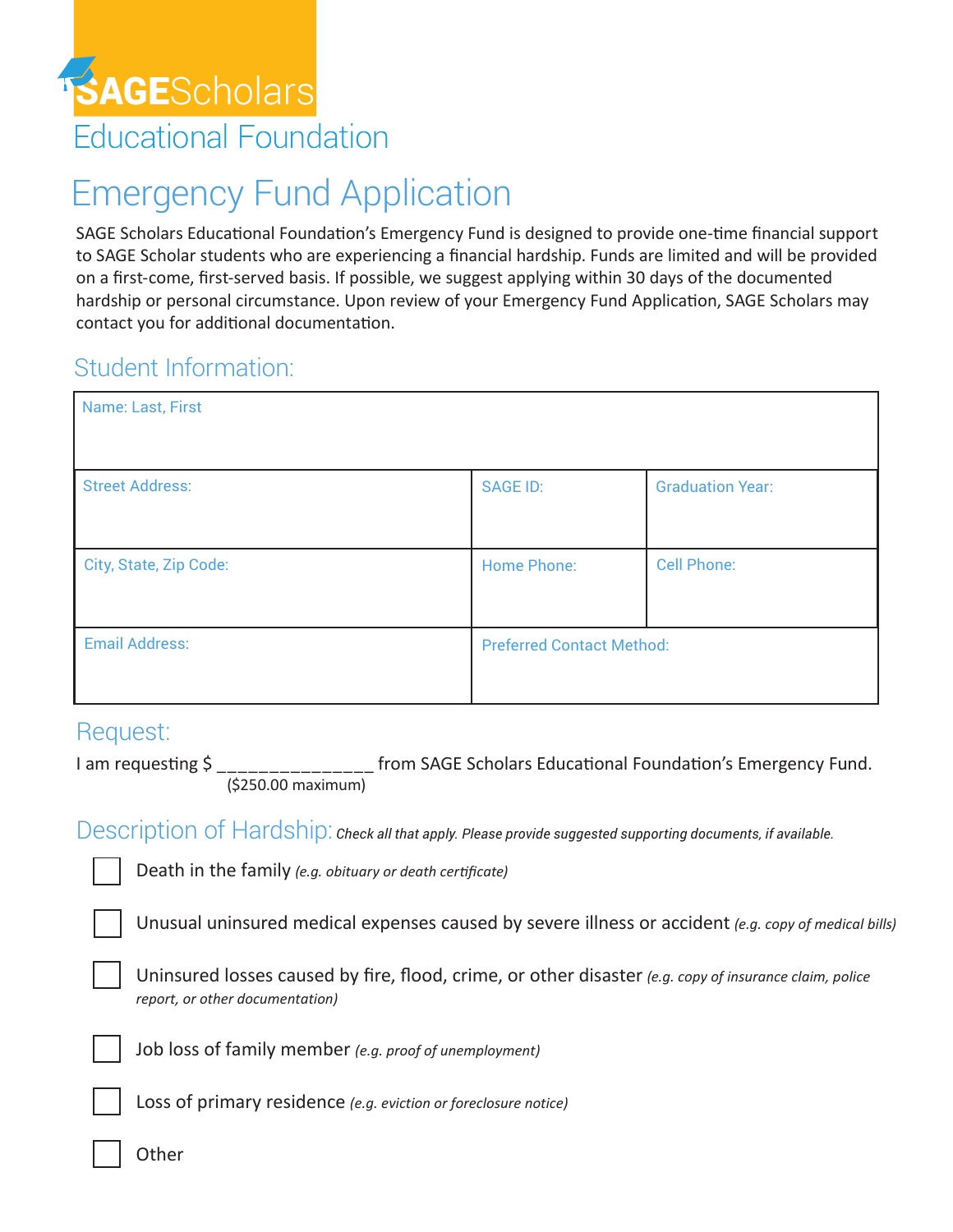

## Emergency Fund Application

SAGE Scholars Educational Foundation's Emergency Fund is designed to provide one-time financial support to SAGE Scholar students who are experiencing a financial hardship. Funds are limited and will be provided on a first-come, first-served basis. If possible, we suggest applying within 30 days of the documented hardship or personal circumstance. Upon review of your Emergency Fund Application, SAGE Scholars may contact you for additional documentation.

## Student Information:

| Name: Last, First      |                                  |                         |
|------------------------|----------------------------------|-------------------------|
| <b>Street Address:</b> | <b>SAGE ID:</b>                  | <b>Graduation Year:</b> |
| City, State, Zip Code: | <b>Home Phone:</b>               | <b>Cell Phone:</b>      |
| <b>Email Address:</b>  | <b>Preferred Contact Method:</b> |                         |

## Request:

I am requesting  $\frac{1}{2}$  \_\_\_\_\_\_\_\_\_\_\_\_\_\_\_\_\_\_\_\_ from SAGE Scholars Educational Foundation's Emergency Fund. (\$250.00 maximum)

Description of Hardship: *Check all that apply. Please provide suggested supporting documents, if available.*

Death in the family *(e.g. obituary or death certificate)*

Unusual uninsured medical expenses caused by severe illness or accident *(e.g. copy of medical bills)*

Uninsured losses caused by fire, flood, crime, or other disaster *(e.g. copy of insurance claim, police report, or other documentation)*



Job loss of family member *(e.g. proof of unemployment)*

Loss of primary residence *(e.g. eviction or foreclosure notice)*

**Other**